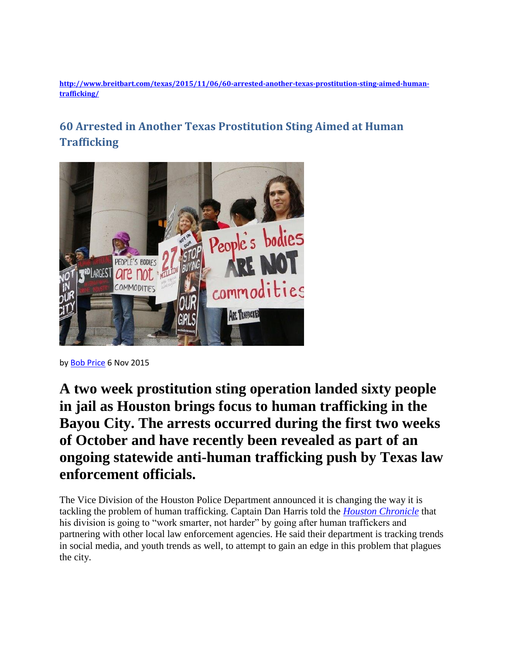**[http://www.breitbart.com/texas/2015/11/06/60-arrested-another-texas-prostitution-sting-aimed-human](http://www.breitbart.com/texas/2015/11/06/60-arrested-another-texas-prostitution-sting-aimed-human-trafficking/)[trafficking/](http://www.breitbart.com/texas/2015/11/06/60-arrested-another-texas-prostitution-sting-aimed-human-trafficking/)**

## **60 Arrested in Another Texas Prostitution Sting Aimed at Human Trafficking**



by [Bob Price](http://www.breitbart.com/author/bob-price/) 6 Nov 2015

**A two week prostitution sting operation landed sixty people in jail as Houston brings focus to human trafficking in the Bayou City. The arrests occurred during the first two weeks of October and have recently been revealed as part of an ongoing statewide anti-human trafficking push by Texas law enforcement officials.**

The Vice Division of the Houston Police Department announced it is changing the way it is tackling the problem of human trafficking. Captain Dan Harris told the *[Houston Chronicle](http://www.chron.com/news/houston-texas/houston/article/60-charged-with-prostitution-in-two-weeks-in-6608012.php#photo-8678799)* that his division is going to "work smarter, not harder" by going after human traffickers and partnering with other local law enforcement agencies. He said their department is tracking trends in social media, and youth trends as well, to attempt to gain an edge in this problem that plagues the city.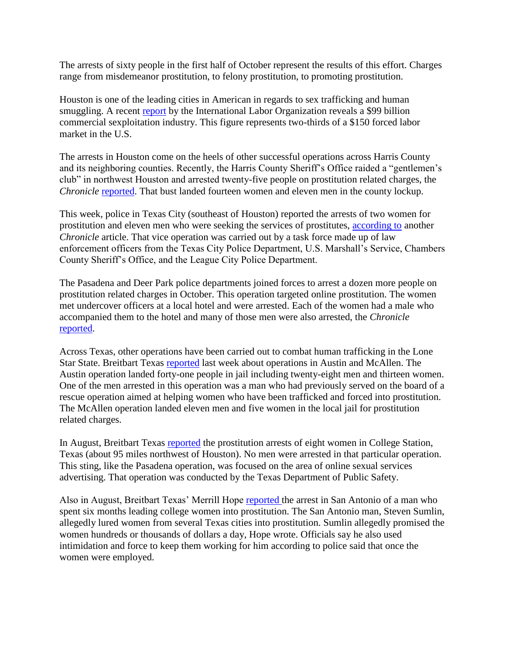The arrests of sixty people in the first half of October represent the results of this effort. Charges range from misdemeanor prostitution, to felony prostitution, to promoting prostitution.

Houston is one of the leading cities in American in regards to sex trafficking and human smuggling. A recent [report](http://www.ilo.org/wcmsp5/groups/public/---ed_norm/---declaration/documents/publication/wcms_244828.pdf) by the International Labor Organization reveals a \$99 billion commercial sexploitation industry. This figure represents two-thirds of a \$150 forced labor market in the U.S.

The arrests in Houston come on the heels of other successful operations across Harris County and its neighboring counties. Recently, the Harris County Sheriff's Office raided a "gentlemen's club" in northwest Houston and arrested twenty-five people on prostitution related charges, the *Chronicle* [reported.](http://www.chron.com/houston/article/Houston-prostitution-bust-reveals-drugs-6582531.php) That bust landed fourteen women and eleven men in the county lockup.

This week, police in Texas City (southeast of Houston) reported the arrests of two women for prostitution and eleven men who were seeking the services of prostitutes, [according to](http://www.chron.com/neighborhood/bayarea/article/13-arrested-in-Texas-City-undercover-6605233.php) another *Chronicle* article. That vice operation was carried out by a task force made up of law enforcement officers from the Texas City Police Department, U.S. Marshall's Service, Chambers County Sheriff's Office, and the League City Police Department.

The Pasadena and Deer Park police departments joined forces to arrest a dozen more people on prostitution related charges in October. This operation targeted online prostitution. The women met undercover officers at a local hotel and were arrested. Each of the women had a male who accompanied them to the hotel and many of those men were also arrested, the *Chronicle* [reported.](http://www.chron.com/news/houston-texas/article/Women-arrested-at-motel-in-Pasadena-prostitution-6567388.php)

Across Texas, other operations have been carried out to combat human trafficking in the Lone Star State. Breitbart Texas [reported](http://www.breitbart.com/big-government/2015/10/28/anti-sex-trafficking-advocate-arrested-in-texas-prostitution-sting/) last week about operations in Austin and McAllen. The Austin operation landed forty-one people in jail including twenty-eight men and thirteen women. One of the men arrested in this operation was a man who had previously served on the board of a rescue operation aimed at helping women who have been trafficked and forced into prostitution. The McAllen operation landed eleven men and five women in the local jail for prostitution related charges.

In August, Breitbart Texas [reported](http://www.breitbart.com/texas/2015/08/02/dps-arrests-8-alleged-prostitutes-part-of-anti-human-trafficking-operation/) the prostitution arrests of eight women in College Station, Texas (about 95 miles northwest of Houston). No men were arrested in that particular operation. This sting, like the Pasadena operation, was focused on the area of online sexual services advertising. That operation was conducted by the Texas Department of Public Safety.

Also in August, Breitbart Texas' Merrill Hope [reported t](http://www.breitbart.com/texas/2015/08/19/texas-man-accused-of-leading-college-women-into-prostitution/)he arrest in San Antonio of a man who spent six months leading college women into prostitution. The San Antonio man, Steven Sumlin, allegedly lured women from several Texas cities into prostitution. Sumlin allegedly promised the women hundreds or thousands of dollars a day, Hope wrote. Officials say he also used intimidation and force to keep them working for him according to police said that once the women were employed.